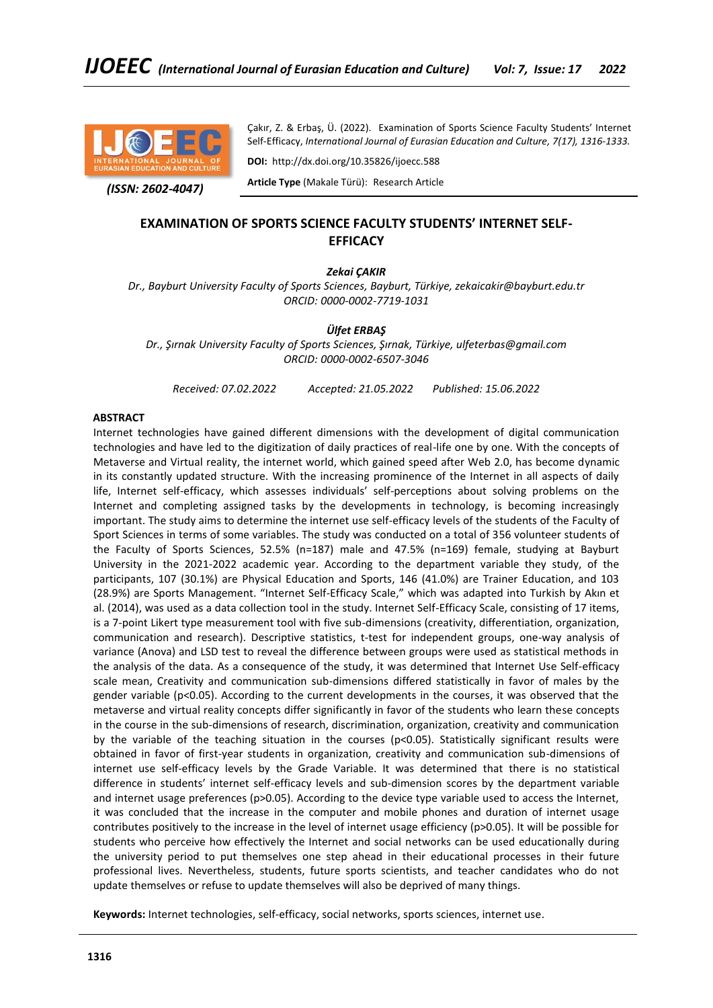

 *(ISSN: 2602-4047)*

Çakır, Z. & Erbaş, Ü. (2022). Examination of Sports Science Faculty Students' Internet Self-Efficacy, *International Journal of Eurasian Education and Culture, 7(17), 1316-1333.*

**DOI:** http://dx.doi.org/10.35826/ijoecc.588

**Article Type** (Makale Türü): Research Article

# **EXAMINATION OF SPORTS SCIENCE FACULTY STUDENTS' INTERNET SELF-EFFICACY**

# *Zekai ÇAKIR*

*Dr., Bayburt University Faculty of Sports Sciences, Bayburt, Türkiye, zekaicakir@bayburt.edu.tr ORCID: 0000-0002-7719-1031*

# *Ülfet ERBAŞ*

*Dr., Şırnak University Faculty of Sports Sciences, Şırnak, Türkiye, ulfeterbas@gmail.com ORCID: 0000-0002-6507-3046*

*Received: 07.02.2022 Accepted: 21.05.2022 Published: 15.06.2022*

# **ABSTRACT**

Internet technologies have gained different dimensions with the development of digital communication technologies and have led to the digitization of daily practices of real-life one by one. With the concepts of Metaverse and Virtual reality, the internet world, which gained speed after Web 2.0, has become dynamic in its constantly updated structure. With the increasing prominence of the Internet in all aspects of daily life, Internet self-efficacy, which assesses individuals' self-perceptions about solving problems on the Internet and completing assigned tasks by the developments in technology, is becoming increasingly important. The study aims to determine the internet use self-efficacy levels of the students of the Faculty of Sport Sciences in terms of some variables. The study was conducted on a total of 356 volunteer students of the Faculty of Sports Sciences, 52.5% (n=187) male and 47.5% (n=169) female, studying at Bayburt University in the 2021-2022 academic year. According to the department variable they study, of the participants, 107 (30.1%) are Physical Education and Sports, 146 (41.0%) are Trainer Education, and 103 (28.9%) are Sports Management. "Internet Self-Efficacy Scale," which was adapted into Turkish by Akın et al. (2014), was used as a data collection tool in the study. Internet Self-Efficacy Scale, consisting of 17 items, is a 7-point Likert type measurement tool with five sub-dimensions (creativity, differentiation, organization, communication and research). Descriptive statistics, t-test for independent groups, one-way analysis of variance (Anova) and LSD test to reveal the difference between groups were used as statistical methods in the analysis of the data. As a consequence of the study, it was determined that Internet Use Self-efficacy scale mean, Creativity and communication sub-dimensions differed statistically in favor of males by the gender variable (p<0.05). According to the current developments in the courses, it was observed that the metaverse and virtual reality concepts differ significantly in favor of the students who learn these concepts in the course in the sub-dimensions of research, discrimination, organization, creativity and communication by the variable of the teaching situation in the courses (p<0.05). Statistically significant results were obtained in favor of first-year students in organization, creativity and communication sub-dimensions of internet use self-efficacy levels by the Grade Variable. It was determined that there is no statistical difference in students' internet self-efficacy levels and sub-dimension scores by the department variable and internet usage preferences (p>0.05). According to the device type variable used to access the Internet, it was concluded that the increase in the computer and mobile phones and duration of internet usage contributes positively to the increase in the level of internet usage efficiency (p>0.05). It will be possible for students who perceive how effectively the Internet and social networks can be used educationally during the university period to put themselves one step ahead in their educational processes in their future professional lives. Nevertheless, students, future sports scientists, and teacher candidates who do not update themselves or refuse to update themselves will also be deprived of many things.

**Keywords:** Internet technologies, self-efficacy, social networks, sports sciences, internet use.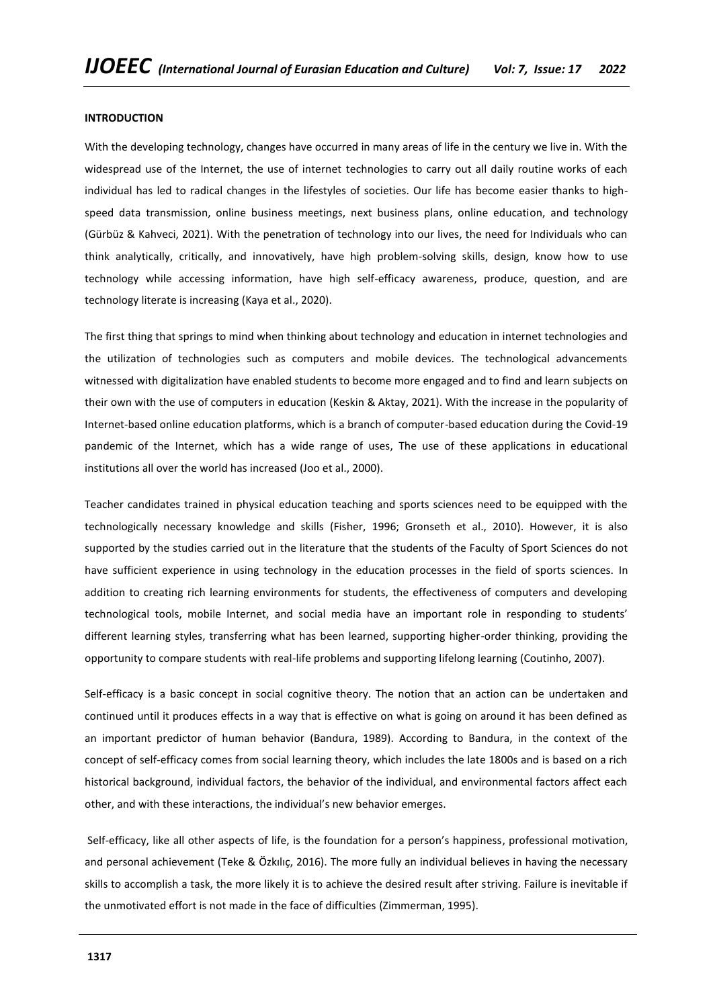#### **INTRODUCTION**

With the developing technology, changes have occurred in many areas of life in the century we live in. With the widespread use of the Internet, the use of internet technologies to carry out all daily routine works of each individual has led to radical changes in the lifestyles of societies. Our life has become easier thanks to highspeed data transmission, online business meetings, next business plans, online education, and technology (Gürbüz & Kahveci, 2021). With the penetration of technology into our lives, the need for Individuals who can think analytically, critically, and innovatively, have high problem-solving skills, design, know how to use technology while accessing information, have high self-efficacy awareness, produce, question, and are technology literate is increasing (Kaya et al., 2020).

The first thing that springs to mind when thinking about technology and education in internet technologies and the utilization of technologies such as computers and mobile devices. The technological advancements witnessed with digitalization have enabled students to become more engaged and to find and learn subjects on their own with the use of computers in education (Keskin & Aktay, 2021). With the increase in the popularity of Internet-based online education platforms, which is a branch of computer-based education during the Covid-19 pandemic of the Internet, which has a wide range of uses, The use of these applications in educational institutions all over the world has increased (Joo et al., 2000).

Teacher candidates trained in physical education teaching and sports sciences need to be equipped with the technologically necessary knowledge and skills (Fisher, 1996; Gronseth et al., 2010). However, it is also supported by the studies carried out in the literature that the students of the Faculty of Sport Sciences do not have sufficient experience in using technology in the education processes in the field of sports sciences. In addition to creating rich learning environments for students, the effectiveness of computers and developing technological tools, mobile Internet, and social media have an important role in responding to students' different learning styles, transferring what has been learned, supporting higher-order thinking, providing the opportunity to compare students with real-life problems and supporting lifelong learning (Coutinho, 2007).

Self-efficacy is a basic concept in social cognitive theory. The notion that an action can be undertaken and continued until it produces effects in a way that is effective on what is going on around it has been defined as an important predictor of human behavior (Bandura, 1989). According to Bandura, in the context of the concept of self-efficacy comes from social learning theory, which includes the late 1800s and is based on a rich historical background, individual factors, the behavior of the individual, and environmental factors affect each other, and with these interactions, the individual's new behavior emerges.

Self-efficacy, like all other aspects of life, is the foundation for a person's happiness, professional motivation, and personal achievement (Teke & Özkılıç, 2016). The more fully an individual believes in having the necessary skills to accomplish a task, the more likely it is to achieve the desired result after striving. Failure is inevitable if the unmotivated effort is not made in the face of difficulties (Zimmerman, 1995).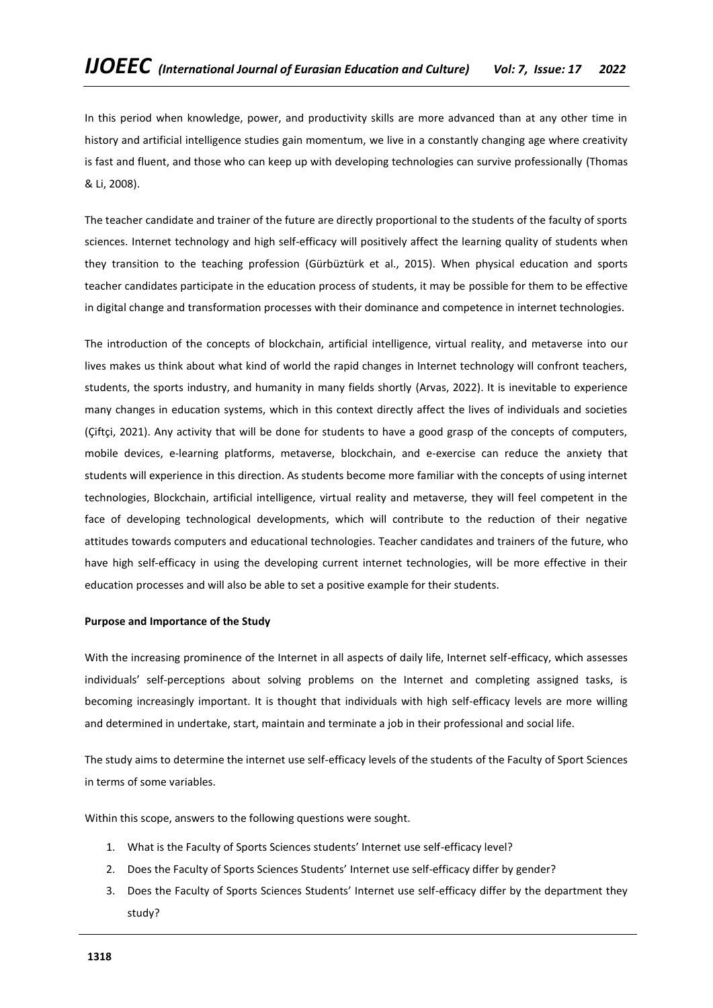In this period when knowledge, power, and productivity skills are more advanced than at any other time in history and artificial intelligence studies gain momentum, we live in a constantly changing age where creativity is fast and fluent, and those who can keep up with developing technologies can survive professionally (Thomas & Li, 2008).

The teacher candidate and trainer of the future are directly proportional to the students of the faculty of sports sciences. Internet technology and high self-efficacy will positively affect the learning quality of students when they transition to the teaching profession (Gürbüztürk et al., 2015). When physical education and sports teacher candidates participate in the education process of students, it may be possible for them to be effective in digital change and transformation processes with their dominance and competence in internet technologies.

The introduction of the concepts of blockchain, artificial intelligence, virtual reality, and metaverse into our lives makes us think about what kind of world the rapid changes in Internet technology will confront teachers, students, the sports industry, and humanity in many fields shortly (Arvas, 2022). It is inevitable to experience many changes in education systems, which in this context directly affect the lives of individuals and societies (Çiftçi, 2021). Any activity that will be done for students to have a good grasp of the concepts of computers, mobile devices, e-learning platforms, metaverse, blockchain, and e-exercise can reduce the anxiety that students will experience in this direction. As students become more familiar with the concepts of using internet technologies, Blockchain, artificial intelligence, virtual reality and metaverse, they will feel competent in the face of developing technological developments, which will contribute to the reduction of their negative attitudes towards computers and educational technologies. Teacher candidates and trainers of the future, who have high self-efficacy in using the developing current internet technologies, will be more effective in their education processes and will also be able to set a positive example for their students.

#### **Purpose and Importance of the Study**

With the increasing prominence of the Internet in all aspects of daily life, Internet self-efficacy, which assesses individuals' self-perceptions about solving problems on the Internet and completing assigned tasks, is becoming increasingly important. It is thought that individuals with high self-efficacy levels are more willing and determined in undertake, start, maintain and terminate a job in their professional and social life.

The study aims to determine the internet use self-efficacy levels of the students of the Faculty of Sport Sciences in terms of some variables.

Within this scope, answers to the following questions were sought.

- 1. What is the Faculty of Sports Sciences students' Internet use self-efficacy level?
- 2. Does the Faculty of Sports Sciences Students' Internet use self-efficacy differ by gender?
- 3. Does the Faculty of Sports Sciences Students' Internet use self-efficacy differ by the department they study?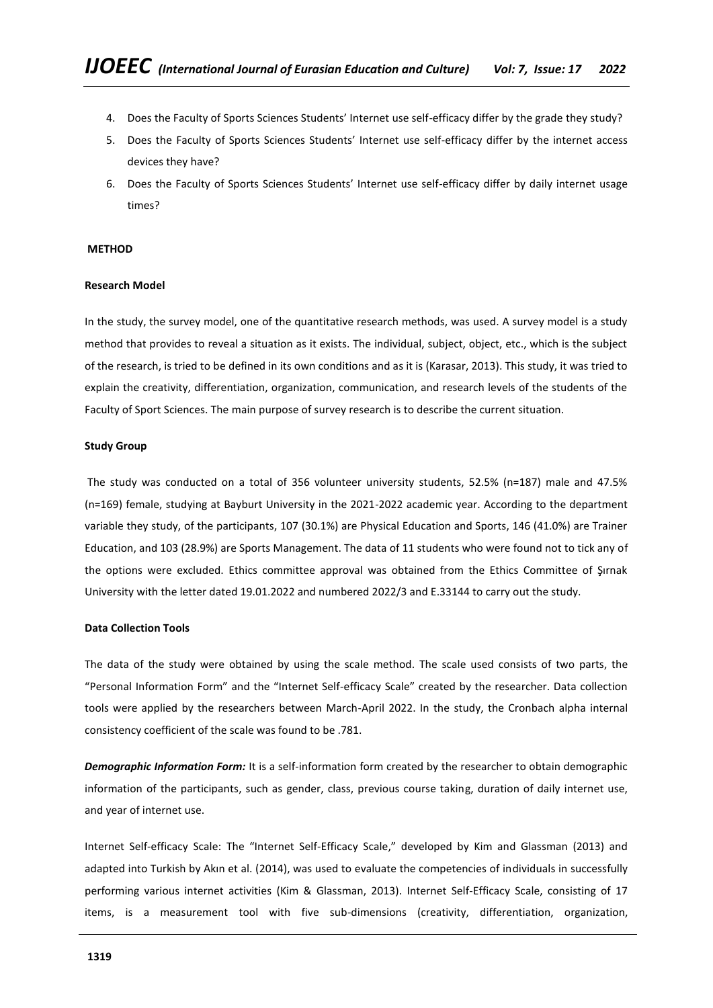- 4. Does the Faculty of Sports Sciences Students' Internet use self-efficacy differ by the grade they study?
- 5. Does the Faculty of Sports Sciences Students' Internet use self-efficacy differ by the internet access devices they have?
- 6. Does the Faculty of Sports Sciences Students' Internet use self-efficacy differ by daily internet usage times?

#### **METHOD**

## **Research Model**

In the study, the survey model, one of the quantitative research methods, was used. A survey model is a study method that provides to reveal a situation as it exists. The individual, subject, object, etc., which is the subject of the research, is tried to be defined in its own conditions and as it is (Karasar, 2013). This study, it was tried to explain the creativity, differentiation, organization, communication, and research levels of the students of the Faculty of Sport Sciences. The main purpose of survey research is to describe the current situation.

#### **Study Group**

The study was conducted on a total of 356 volunteer university students, 52.5% (n=187) male and 47.5% (n=169) female, studying at Bayburt University in the 2021-2022 academic year. According to the department variable they study, of the participants, 107 (30.1%) are Physical Education and Sports, 146 (41.0%) are Trainer Education, and 103 (28.9%) are Sports Management. The data of 11 students who were found not to tick any of the options were excluded. Ethics committee approval was obtained from the Ethics Committee of Şırnak University with the letter dated 19.01.2022 and numbered 2022/3 and E.33144 to carry out the study.

## **Data Collection Tools**

The data of the study were obtained by using the scale method. The scale used consists of two parts, the "Personal Information Form" and the "Internet Self-efficacy Scale" created by the researcher. Data collection tools were applied by the researchers between March-April 2022. In the study, the Cronbach alpha internal consistency coefficient of the scale was found to be .781.

*Demographic Information Form:* It is a self-information form created by the researcher to obtain demographic information of the participants, such as gender, class, previous course taking, duration of daily internet use, and year of internet use.

Internet Self-efficacy Scale: The "Internet Self-Efficacy Scale," developed by Kim and Glassman (2013) and adapted into Turkish by Akın et al. (2014), was used to evaluate the competencies of individuals in successfully performing various internet activities (Kim & Glassman, 2013). Internet Self-Efficacy Scale, consisting of 17 items, is a measurement tool with five sub-dimensions (creativity, differentiation, organization,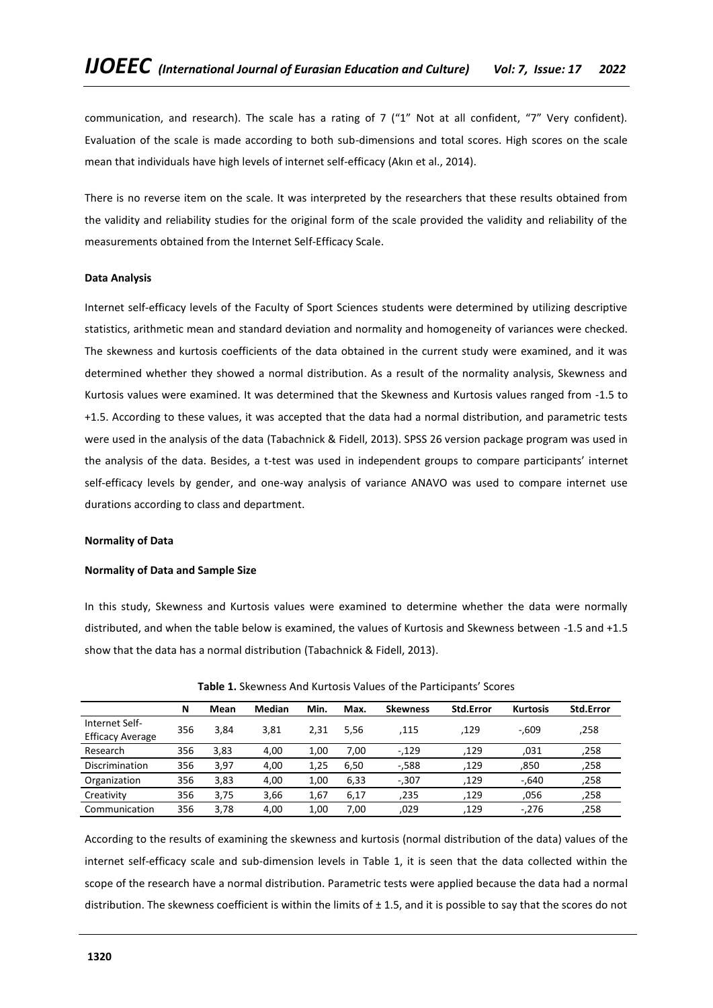communication, and research). The scale has a rating of 7 ("1" Not at all confident, "7" Very confident). Evaluation of the scale is made according to both sub-dimensions and total scores. High scores on the scale mean that individuals have high levels of internet self-efficacy (Akın et al., 2014).

There is no reverse item on the scale. It was interpreted by the researchers that these results obtained from the validity and reliability studies for the original form of the scale provided the validity and reliability of the measurements obtained from the Internet Self-Efficacy Scale.

# **Data Analysis**

Internet self-efficacy levels of the Faculty of Sport Sciences students were determined by utilizing descriptive statistics, arithmetic mean and standard deviation and normality and homogeneity of variances were checked. The skewness and kurtosis coefficients of the data obtained in the current study were examined, and it was determined whether they showed a normal distribution. As a result of the normality analysis, Skewness and Kurtosis values were examined. It was determined that the Skewness and Kurtosis values ranged from -1.5 to +1.5. According to these values, it was accepted that the data had a normal distribution, and parametric tests were used in the analysis of the data (Tabachnick & Fidell, 2013). SPSS 26 version package program was used in the analysis of the data. Besides, a t-test was used in independent groups to compare participants' internet self-efficacy levels by gender, and one-way analysis of variance ANAVO was used to compare internet use durations according to class and department.

#### **Normality of Data**

#### **Normality of Data and Sample Size**

In this study, Skewness and Kurtosis values were examined to determine whether the data were normally distributed, and when the table below is examined, the values of Kurtosis and Skewness between -1.5 and +1.5 show that the data has a normal distribution (Tabachnick & Fidell, 2013).

|                                           | N   | Mean | Median | Min. | Max. | <b>Skewness</b> | <b>Std.Error</b> | <b>Kurtosis</b> | <b>Std.Error</b> |
|-------------------------------------------|-----|------|--------|------|------|-----------------|------------------|-----------------|------------------|
| Internet Self-<br><b>Efficacy Average</b> | 356 | 3.84 | 3,81   | 2,31 | 5.56 | .115            | .129             | $-.609$         | ,258             |
| Research                                  | 356 | 3,83 | 4,00   | 1,00 | 7,00 | $-.129$         | ,129             | ,031            | ,258             |
| Discrimination                            | 356 | 3,97 | 4,00   | 1,25 | 6,50 | $-588$          | 129,             | ,850            | ,258             |
| Organization                              | 356 | 3.83 | 4,00   | 1,00 | 6,33 | $-.307$         | .129             | -,640           | ,258             |
| Creativity                                | 356 | 3,75 | 3,66   | 1,67 | 6,17 | ,235            | 129,             | ,056            | ,258             |
| Communication                             | 356 | 3.78 | 4.00   | 1.00 | 7.00 | ,029            | ,129             | $-.276$         | ,258             |

**Table 1.** Skewness And Kurtosis Values of the Participants' Scores

According to the results of examining the skewness and kurtosis (normal distribution of the data) values of the internet self-efficacy scale and sub-dimension levels in Table 1, it is seen that the data collected within the scope of the research have a normal distribution. Parametric tests were applied because the data had a normal distribution. The skewness coefficient is within the limits of  $\pm$  1.5, and it is possible to say that the scores do not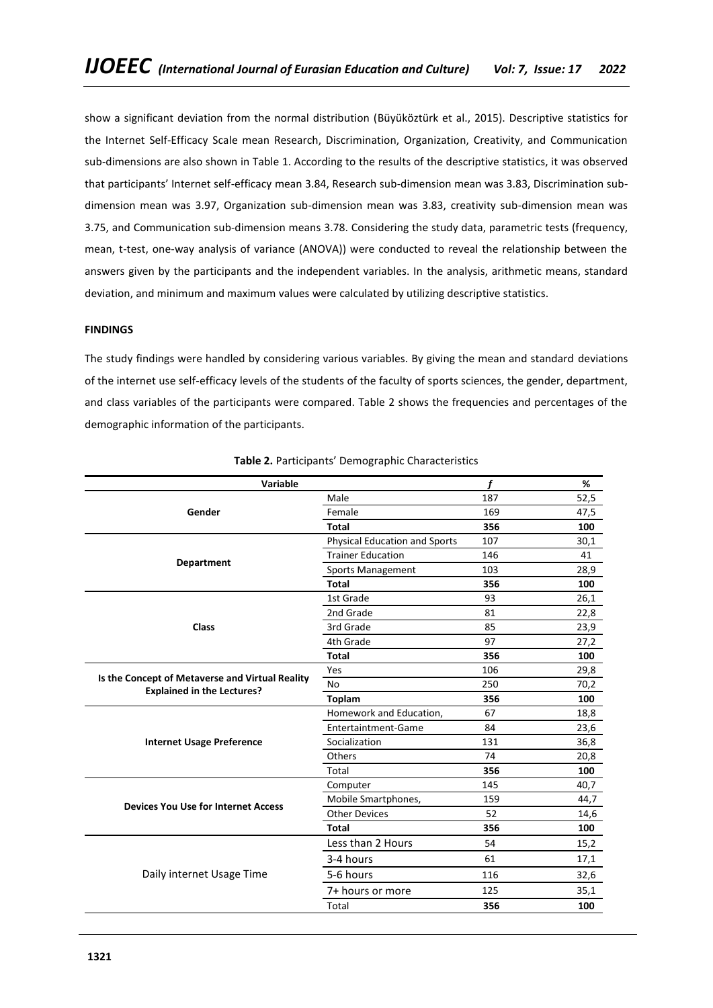show a significant deviation from the normal distribution (Büyüköztürk et al., 2015). Descriptive statistics for the Internet Self-Efficacy Scale mean Research, Discrimination, Organization, Creativity, and Communication sub-dimensions are also shown in Table 1. According to the results of the descriptive statistics, it was observed that participants' Internet self-efficacy mean 3.84, Research sub-dimension mean was 3.83, Discrimination subdimension mean was 3.97, Organization sub-dimension mean was 3.83, creativity sub-dimension mean was 3.75, and Communication sub-dimension means 3.78. Considering the study data, parametric tests (frequency, mean, t-test, one-way analysis of variance (ANOVA)) were conducted to reveal the relationship between the answers given by the participants and the independent variables. In the analysis, arithmetic means, standard deviation, and minimum and maximum values were calculated by utilizing descriptive statistics.

# **FINDINGS**

The study findings were handled by considering various variables. By giving the mean and standard deviations of the internet use self-efficacy levels of the students of the faculty of sports sciences, the gender, department, and class variables of the participants were compared. Table 2 shows the frequencies and percentages of the demographic information of the participants.

| Variable                                                                             |                                      | f   | %    |
|--------------------------------------------------------------------------------------|--------------------------------------|-----|------|
|                                                                                      | Male                                 | 187 | 52,5 |
| Gender                                                                               | Female                               | 169 | 47,5 |
|                                                                                      | <b>Total</b>                         | 356 | 100  |
|                                                                                      | <b>Physical Education and Sports</b> | 107 | 30,1 |
| <b>Department</b>                                                                    | <b>Trainer Education</b>             | 146 | 41   |
|                                                                                      | Sports Management                    | 103 | 28,9 |
|                                                                                      | <b>Total</b>                         | 356 | 100  |
|                                                                                      | 1st Grade                            | 93  | 26,1 |
|                                                                                      | 2nd Grade                            | 81  | 22,8 |
| Class                                                                                | 3rd Grade                            | 85  | 23,9 |
|                                                                                      | 4th Grade                            | 97  | 27,2 |
|                                                                                      | <b>Total</b>                         | 356 | 100  |
|                                                                                      | Yes                                  | 106 | 29,8 |
| Is the Concept of Metaverse and Virtual Reality<br><b>Explained in the Lectures?</b> | <b>No</b>                            | 250 | 70,2 |
|                                                                                      | <b>Toplam</b>                        | 356 | 100  |
|                                                                                      | Homework and Education,              | 67  | 18,8 |
|                                                                                      | Entertaintment-Game                  | 84  | 23,6 |
| <b>Internet Usage Preference</b>                                                     | Socialization                        | 131 | 36,8 |
|                                                                                      | Others                               | 74  | 20,8 |
|                                                                                      | Total                                | 356 | 100  |
|                                                                                      | Computer                             | 145 | 40,7 |
| <b>Devices You Use for Internet Access</b>                                           | Mobile Smartphones,                  | 159 | 44,7 |
|                                                                                      | <b>Other Devices</b>                 | 52  | 14,6 |
|                                                                                      | <b>Total</b>                         | 356 | 100  |
|                                                                                      | Less than 2 Hours                    | 54  | 15,2 |
|                                                                                      | 3-4 hours                            | 61  | 17,1 |
| Daily internet Usage Time                                                            | 5-6 hours                            | 116 | 32,6 |
|                                                                                      | 7+ hours or more                     | 125 | 35,1 |
|                                                                                      | Total                                | 356 | 100  |

**Table 2.** Participants' Demographic Characteristics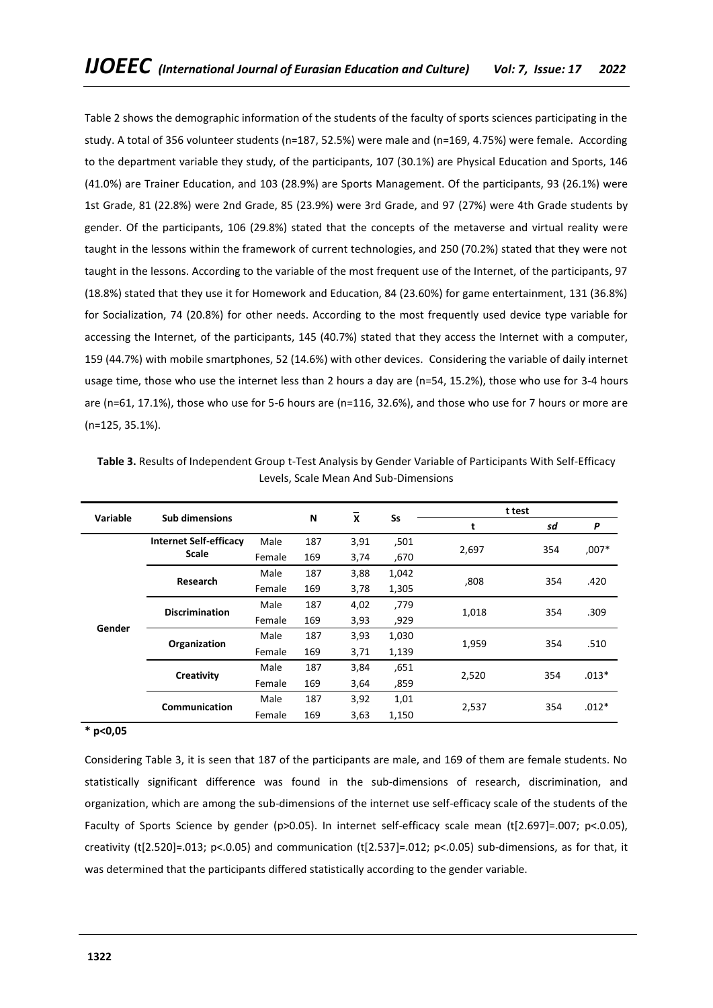Table 2 shows the demographic information of the students of the faculty of sports sciences participating in the study. A total of 356 volunteer students (n=187, 52.5%) were male and (n=169, 4.75%) were female. According to the department variable they study, of the participants, 107 (30.1%) are Physical Education and Sports, 146 (41.0%) are Trainer Education, and 103 (28.9%) are Sports Management. Of the participants, 93 (26.1%) were 1st Grade, 81 (22.8%) were 2nd Grade, 85 (23.9%) were 3rd Grade, and 97 (27%) were 4th Grade students by gender. Of the participants, 106 (29.8%) stated that the concepts of the metaverse and virtual reality were taught in the lessons within the framework of current technologies, and 250 (70.2%) stated that they were not taught in the lessons. According to the variable of the most frequent use of the Internet, of the participants, 97 (18.8%) stated that they use it for Homework and Education, 84 (23.60%) for game entertainment, 131 (36.8%) for Socialization, 74 (20.8%) for other needs. According to the most frequently used device type variable for accessing the Internet, of the participants, 145 (40.7%) stated that they access the Internet with a computer, 159 (44.7%) with mobile smartphones, 52 (14.6%) with other devices. Considering the variable of daily internet usage time, those who use the internet less than 2 hours a day are (n=54, 15.2%), those who use for 3-4 hours are (n=61, 17.1%), those who use for 5-6 hours are (n=116, 32.6%), and those who use for 7 hours or more are (n=125, 35.1%).

| Variable | <b>Sub dimensions</b>         |        |     | $\boldsymbol{x}$ |       | t test |     |         |
|----------|-------------------------------|--------|-----|------------------|-------|--------|-----|---------|
|          |                               |        | N   |                  | Ss    | t      | sd  | P       |
|          | <b>Internet Self-efficacy</b> | Male   | 187 | 3,91             | ,501  | 2,697  | 354 | ,007*   |
|          | <b>Scale</b>                  | Female | 169 | 3,74             | ,670  |        |     |         |
|          | Research                      | Male   | 187 | 3,88             | 1,042 | ,808   | 354 | .420    |
|          |                               | Female | 169 | 3,78             | 1,305 |        |     |         |
|          | <b>Discrimination</b>         | Male   | 187 | 4,02             | ,779  | 1,018  | 354 | .309    |
| Gender   |                               | Female | 169 | 3,93             | ,929  |        |     |         |
|          | Organization                  | Male   | 187 | 3,93             | 1,030 | 1,959  | 354 | .510    |
|          |                               | Female | 169 | 3,71             | 1,139 |        |     |         |
|          | Creativity                    | Male   | 187 | 3,84             | ,651  | 2,520  | 354 | $.013*$ |
|          |                               | Female | 169 | 3,64             | ,859  |        |     |         |
|          | <b>Communication</b>          | Male   | 187 | 3,92             | 1,01  | 2,537  | 354 | $.012*$ |
|          |                               | Female | 169 | 3,63             | 1,150 |        |     |         |

**Table 3.** Results of Independent Group t-Test Analysis by Gender Variable of Participants With Self-Efficacy Levels, Scale Mean And Sub-Dimensions

**\* p<0,05** 

Considering Table 3, it is seen that 187 of the participants are male, and 169 of them are female students. No statistically significant difference was found in the sub-dimensions of research, discrimination, and organization, which are among the sub-dimensions of the internet use self-efficacy scale of the students of the Faculty of Sports Science by gender (p>0.05). In internet self-efficacy scale mean (t[2.697]=.007; p<.0.05), creativity (t[2.520]=.013; p<.0.05) and communication (t[2.537]=.012; p<.0.05) sub-dimensions, as for that, it was determined that the participants differed statistically according to the gender variable.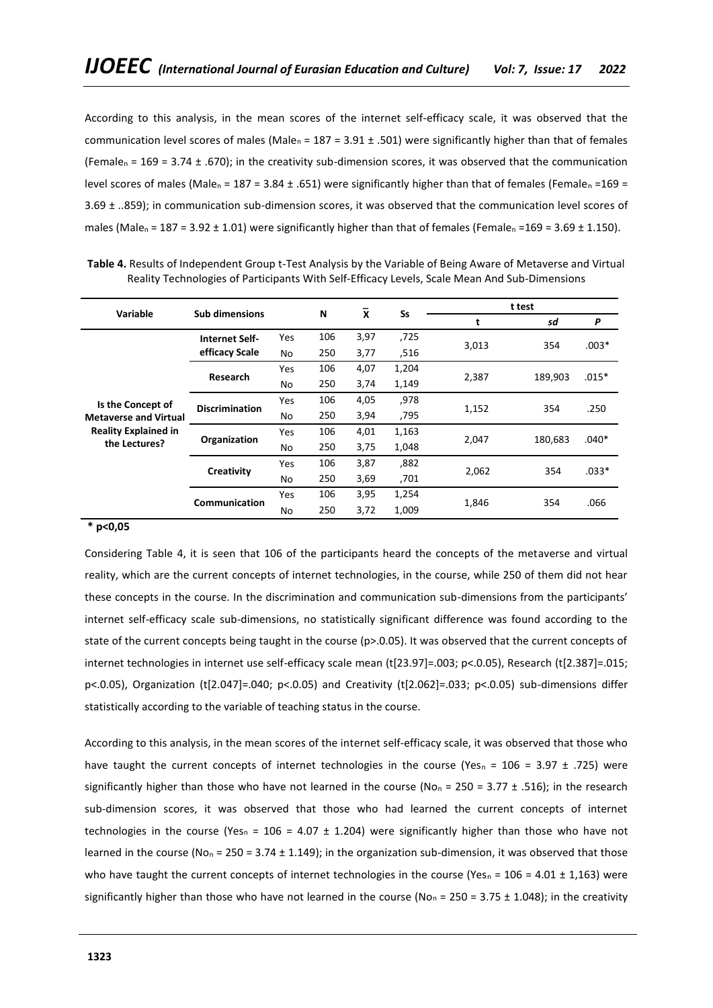According to this analysis, in the mean scores of the internet self-efficacy scale, it was observed that the communication level scores of males (Male<sub>n</sub> = 187 = 3.91  $\pm$  .501) were significantly higher than that of females (Female<sub>n</sub> = 169 = 3.74  $\pm$  .670); in the creativity sub-dimension scores, it was observed that the communication level scores of males (Male<sub>n</sub> = 187 = 3.84 ± .651) were significantly higher than that of females (Female<sub>n</sub> = 169 = 3.69 ± ..859); in communication sub-dimension scores, it was observed that the communication level scores of males (Male<sub>n</sub> = 187 = 3.92 ± 1.01) were significantly higher than that of females (Female<sub>n</sub> = 169 = 3.69 ± 1.150).

| <b>Variable</b>              | <b>Sub dimensions</b> |            | N   | X    | Ss    |       | t test  |         |
|------------------------------|-----------------------|------------|-----|------|-------|-------|---------|---------|
|                              |                       |            |     |      |       | sd    | P       |         |
| Is the Concept of            | <b>Internet Self-</b> | Yes        | 106 | 3,97 | ,725  | 3,013 | 354     | $.003*$ |
|                              | efficacy Scale        | No         | 250 | 3,77 | ,516  |       |         |         |
|                              |                       | Yes        | 106 | 4,07 | 1,204 |       |         | $.015*$ |
|                              | Research              | No         | 250 | 3,74 | 1,149 | 2,387 | 189,903 |         |
|                              | <b>Discrimination</b> | <b>Yes</b> | 106 | 4,05 | ,978  |       |         |         |
| <b>Metaverse and Virtual</b> |                       | No         | 250 | 3,94 | ,795  | 1,152 | 354     | .250    |
| <b>Reality Explained in</b>  |                       | <b>Yes</b> | 106 | 4,01 | 1,163 |       |         |         |
| the Lectures?                | Organization          | No         | 250 | 3,75 | 1,048 | 2,047 | 180,683 | $.040*$ |
|                              |                       | <b>Yes</b> | 106 | 3,87 | ,882  |       |         |         |
|                              | <b>Creativity</b>     | No         | 250 | 3,69 | ,701  | 2,062 | 354     | $.033*$ |
|                              |                       | Yes        | 106 | 3,95 | 1,254 |       |         |         |
|                              | Communication         | No         | 250 | 3,72 | 1,009 | 1,846 | 354     | .066    |

**Table 4.** Results of Independent Group t-Test Analysis by the Variable of Being Aware of Metaverse and Virtual Reality Technologies of Participants With Self-Efficacy Levels, Scale Mean And Sub-Dimensions

# **\* p<0,05**

Considering Table 4, it is seen that 106 of the participants heard the concepts of the metaverse and virtual reality, which are the current concepts of internet technologies, in the course, while 250 of them did not hear these concepts in the course. In the discrimination and communication sub-dimensions from the participants' internet self-efficacy scale sub-dimensions, no statistically significant difference was found according to the state of the current concepts being taught in the course (p>.0.05). It was observed that the current concepts of internet technologies in internet use self-efficacy scale mean (t[23.97]=.003; p<.0.05), Research (t[2.387]=.015; p<.0.05), Organization (t[2.047]=.040; p<.0.05) and Creativity (t[2.062]=.033; p<.0.05) sub-dimensions differ statistically according to the variable of teaching status in the course.

According to this analysis, in the mean scores of the internet self-efficacy scale, it was observed that those who have taught the current concepts of internet technologies in the course (Yes<sub>n</sub> = 106 = 3.97 ± .725) were significantly higher than those who have not learned in the course (No<sub>n</sub> = 250 = 3.77  $\pm$  .516); in the research sub-dimension scores, it was observed that those who had learned the current concepts of internet technologies in the course (Yes<sub>n</sub> = 106 = 4.07  $\pm$  1.204) were significantly higher than those who have not learned in the course (No<sub>n</sub> = 250 = 3.74  $\pm$  1.149); in the organization sub-dimension, it was observed that those who have taught the current concepts of internet technologies in the course (Yes<sub>n</sub> =  $106 = 4.01 \pm 1.163$ ) were significantly higher than those who have not learned in the course (No<sub>n</sub> = 250 = 3.75  $\pm$  1.048); in the creativity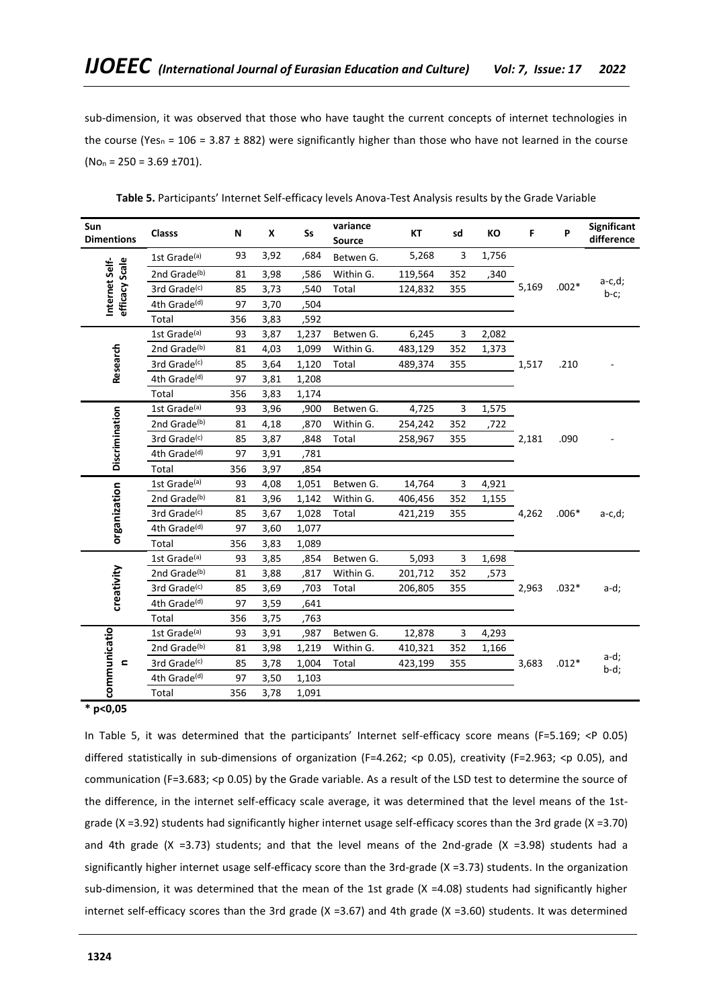sub-dimension, it was observed that those who have taught the current concepts of internet technologies in the course (Yes<sub>n</sub> = 106 = 3.87  $\pm$  882) were significantly higher than those who have not learned in the course  $(No_n = 250 = 3.69 \pm 701).$ 

| Sun<br><b>Dimentions</b>         | <b>Classs</b>            | N   | X    | <b>Ss</b> | variance<br><b>Source</b> | KO<br>КT<br>sd |     | F     | P     | <b>Significant</b><br>difference |                    |
|----------------------------------|--------------------------|-----|------|-----------|---------------------------|----------------|-----|-------|-------|----------------------------------|--------------------|
|                                  | 1st Grade <sup>(a)</sup> | 93  | 3,92 | ,684      | Betwen G.                 | 5,268          | 3   | 1,756 |       |                                  |                    |
| efficacy Scale<br>Internet Self- | 2nd Grade(b)             | 81  | 3,98 | ,586      | Within G.                 | 119,564        | 352 | ,340  |       |                                  |                    |
|                                  | 3rd Grade <sup>(c)</sup> | 85  | 3,73 | ,540      | Total                     | 124,832        | 355 |       | 5,169 | $.002*$                          | $a-c,d;$<br>$b-c;$ |
|                                  | 4th Grade <sup>(d)</sup> | 97  | 3,70 | ,504      |                           |                |     |       |       |                                  |                    |
|                                  | Total                    | 356 | 3,83 | ,592      |                           |                |     |       |       |                                  |                    |
|                                  | 1st Grade <sup>(a)</sup> | 93  | 3,87 | 1,237     | Betwen G.                 | 6,245          | 3   | 2,082 |       |                                  |                    |
|                                  | 2nd Grade <sup>(b)</sup> | 81  | 4,03 | 1,099     | Within G.                 | 483,129        | 352 | 1,373 |       |                                  |                    |
| Research                         | 3rd Grade(c)             | 85  | 3,64 | 1,120     | Total                     | 489,374        | 355 |       | 1,517 | .210                             |                    |
|                                  | 4th Grade <sup>(d)</sup> | 97  | 3,81 | 1,208     |                           |                |     |       |       |                                  |                    |
|                                  | Total                    | 356 | 3,83 | 1,174     |                           |                |     |       |       |                                  |                    |
|                                  | 1st Grade <sup>(a)</sup> | 93  | 3,96 | ,900      | Betwen G.                 | 4,725          | 3   | 1,575 |       |                                  |                    |
|                                  | 2nd Grade <sup>(b)</sup> | 81  | 4,18 | ,870      | Within G.                 | 254,242        | 352 | ,722  |       |                                  |                    |
|                                  | 3rd Grade <sup>(c)</sup> | 85  | 3,87 | ,848      | Total                     | 258,967        | 355 |       | 2,181 | .090                             |                    |
| Discrimination                   | 4th Grade <sup>(d)</sup> | 97  | 3,91 | ,781      |                           |                |     |       |       |                                  |                    |
|                                  | Total                    | 356 | 3,97 | ,854      |                           |                |     |       |       |                                  |                    |
|                                  | 1st Grade <sup>(a)</sup> | 93  | 4,08 | 1,051     | Betwen G.                 | 14,764         | 3   | 4,921 |       |                                  |                    |
|                                  | 2nd Grade(b)             | 81  | 3,96 | 1,142     | Within G.                 | 406,456        | 352 | 1,155 |       |                                  |                    |
|                                  | 3rd Grade <sup>(c)</sup> | 85  | 3,67 | 1,028     | Total                     | 421,219        | 355 |       | 4,262 | $.006*$                          | $a-c,d;$           |
| organization                     | 4th Grade <sup>(d)</sup> | 97  | 3,60 | 1,077     |                           |                |     |       |       |                                  |                    |
|                                  | Total                    | 356 | 3,83 | 1,089     |                           |                |     |       |       |                                  |                    |
|                                  | 1st Grade <sup>(a)</sup> | 93  | 3,85 | ,854      | Betwen G.                 | 5,093          | 3   | 1,698 |       |                                  |                    |
| creativity                       | 2nd Grade <sup>(b)</sup> | 81  | 3,88 | ,817      | Within G.                 | 201,712        | 352 | ,573  |       |                                  |                    |
|                                  | 3rd Grade <sup>(c)</sup> | 85  | 3,69 | ,703      | Total                     | 206,805        | 355 |       | 2,963 | $.032*$                          | $a-d$ ;            |
|                                  | 4th Grade <sup>(d)</sup> | 97  | 3,59 | ,641      |                           |                |     |       |       |                                  |                    |
|                                  | Total                    | 356 | 3,75 | ,763      |                           |                |     |       |       |                                  |                    |
|                                  | 1st Grade <sup>(a)</sup> | 93  | 3,91 | ,987      | Betwen G.                 | 12,878         | 3   | 4,293 |       |                                  |                    |
| communicatio                     | 2nd Grade(b)             | 81  | 3,98 | 1,219     | Within G.                 | 410,321        | 352 | 1,166 |       |                                  | $a-d;$             |
| Ξ                                | 3rd Grade <sup>(c)</sup> | 85  | 3,78 | 1,004     | Total                     | 423,199        | 355 |       | 3,683 | $.012*$                          | $b-d;$             |
|                                  | 4th Grade <sup>(d)</sup> | 97  | 3,50 | 1,103     |                           |                |     |       |       |                                  |                    |
|                                  | Total                    | 356 | 3,78 | 1,091     |                           |                |     |       |       |                                  |                    |

**Table 5.** Participants' Internet Self-efficacy levels Anova-Test Analysis results by the Grade Variable

**\* p<0,05** 

In Table 5, it was determined that the participants' Internet self-efficacy score means (F=5.169; <P 0.05) differed statistically in sub-dimensions of organization (F=4.262; <p 0.05), creativity (F=2.963; <p 0.05), and communication (F=3.683; <p 0.05) by the Grade variable. As a result of the LSD test to determine the source of the difference, in the internet self-efficacy scale average, it was determined that the level means of the 1stgrade  $(X = 3.92)$  students had significantly higher internet usage self-efficacy scores than the 3rd grade  $(X = 3.70)$ and 4th grade (X =3.73) students; and that the level means of the 2nd-grade (X =3.98) students had a significantly higher internet usage self-efficacy score than the 3rd-grade (X =3.73) students. In the organization sub-dimension, it was determined that the mean of the 1st grade (X =4.08) students had significantly higher internet self-efficacy scores than the 3rd grade (X =3.67) and 4th grade (X =3.60) students. It was determined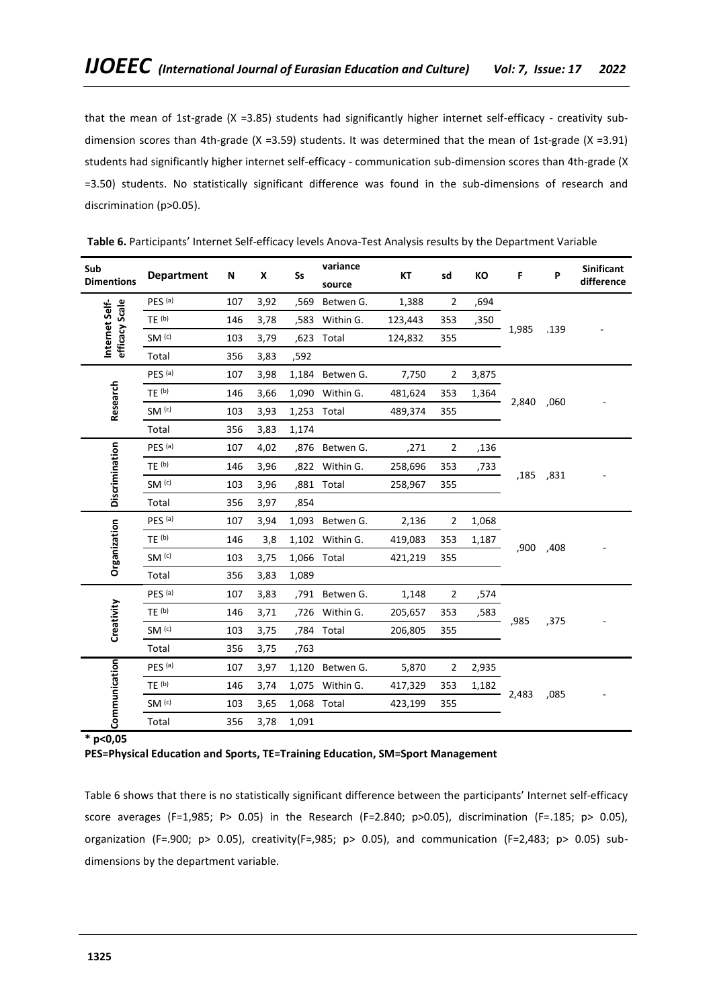that the mean of 1st-grade (X =3.85) students had significantly higher internet self-efficacy - creativity subdimension scores than 4th-grade  $(X = 3.59)$  students. It was determined that the mean of 1st-grade  $(X = 3.91)$ students had significantly higher internet self-efficacy - communication sub-dimension scores than 4th-grade (X =3.50) students. No statistically significant difference was found in the sub-dimensions of research and discrimination (p>0.05).

| Sub<br><b>Dimentions</b>         | <b>Department</b>   | Ν   | X    | Ss    | variance<br>source | КT      | sd             | КO    | F     | P    | <b>Sinificant</b><br>difference |
|----------------------------------|---------------------|-----|------|-------|--------------------|---------|----------------|-------|-------|------|---------------------------------|
|                                  | PES <sup>(a)</sup>  | 107 | 3,92 | ,569  | Betwen G.          | 1,388   | $\overline{2}$ | ,694  |       |      |                                 |
| efficacy Scale<br>Internet Self- | $TE$ (b)            | 146 | 3,78 | ,583  | Within G.          | 123,443 | 353            | ,350  |       |      |                                 |
|                                  | $SM$ (c)            | 103 | 3,79 | ,623  | Total              | 124,832 | 355            |       | 1,985 | .139 |                                 |
|                                  | Total               | 356 | 3,83 | ,592  |                    |         |                |       |       |      |                                 |
|                                  | PES <sup>(a)</sup>  | 107 | 3,98 | 1,184 | Betwen G.          | 7,750   | $\overline{2}$ | 3,875 |       |      |                                 |
| Research                         | $TE$ (b)            | 146 | 3,66 | 1,090 | Within G.          | 481,624 | 353            | 1,364 | 2,840 | ,060 |                                 |
|                                  | $SM$ (c)            | 103 | 3,93 | 1,253 | Total              | 489,374 | 355            |       |       |      |                                 |
|                                  | Total               | 356 | 3,83 | 1,174 |                    |         |                |       |       |      |                                 |
|                                  | PES <sup>(a)</sup>  | 107 | 4,02 | ,876  | Betwen G.          | ,271    | 2              | ,136  |       |      |                                 |
|                                  | $TE$ <sup>(b)</sup> | 146 | 3,96 | ,822  | Within G.          | 258,696 | 353            | ,733  | ,185  | ,831 |                                 |
| Discrimination                   | SM(c)               | 103 | 3,96 |       | ,881 Total         | 258,967 | 355            |       |       |      |                                 |
|                                  | Total               | 356 | 3,97 | ,854  |                    |         |                |       |       |      |                                 |
|                                  | PES <sup>(a)</sup>  | 107 | 3,94 | 1,093 | Betwen G.          | 2,136   | $\overline{2}$ | 1,068 |       |      |                                 |
| Organization                     | $TE$ <sup>(b)</sup> | 146 | 3,8  | 1,102 | Within G.          | 419,083 | 353            | 1,187 | ,900  | ,408 |                                 |
|                                  | $SM$ (c)            | 103 | 3,75 | 1,066 | Total              | 421,219 | 355            |       |       |      |                                 |
|                                  | Total               | 356 | 3,83 | 1,089 |                    |         |                |       |       |      |                                 |
|                                  | $PES$ (a)           | 107 | 3,83 | .791, | Betwen G.          | 1,148   | $\overline{2}$ | ,574  |       |      |                                 |
| Creativity                       | $TE$ (b)            | 146 | 3,71 | ,726  | Within G.          | 205,657 | 353            | ,583  | ,985  | ,375 |                                 |
|                                  | SM <sup>(c)</sup>   | 103 | 3,75 | 784,  | Total              | 206,805 | 355            |       |       |      |                                 |
|                                  | Total               | 356 | 3,75 | ,763  |                    |         |                |       |       |      |                                 |
|                                  | PES <sup>(a)</sup>  | 107 | 3,97 | 1,120 | Betwen G.          | 5,870   | $\overline{2}$ | 2,935 |       |      |                                 |
| Communication                    | $TE$ <sup>(b)</sup> | 146 | 3,74 | 1,075 | Within G.          | 417,329 | 353            | 1,182 | 2,483 | ,085 |                                 |
|                                  | SM <sup>(c)</sup>   | 103 | 3,65 | 1,068 | Total              | 423,199 | 355            |       |       |      |                                 |
|                                  | Total               | 356 | 3,78 | 1,091 |                    |         |                |       |       |      |                                 |

|  | Table 6. Participants' Internet Self-efficacy levels Anova-Test Analysis results by the Department Variable |  |  |  |
|--|-------------------------------------------------------------------------------------------------------------|--|--|--|
|--|-------------------------------------------------------------------------------------------------------------|--|--|--|

**\* p<0,05** 

## **PES=Physical Education and Sports, TE=Training Education, SM=Sport Management**

Table 6 shows that there is no statistically significant difference between the participants' Internet self-efficacy score averages (F=1,985; P> 0.05) in the Research (F=2.840; p>0.05), discrimination (F=.185; p> 0.05), organization (F=.900; p> 0.05), creativity(F=,985; p> 0.05), and communication (F=2,483; p> 0.05) subdimensions by the department variable.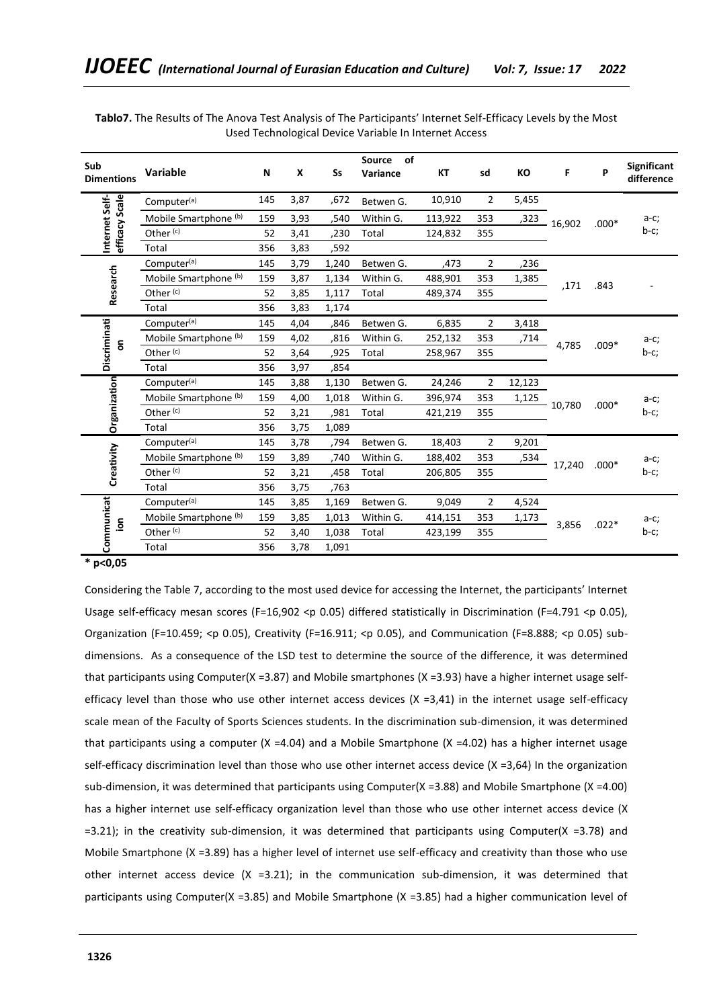| Sub<br><b>Dimentions</b>         | <b>Variable</b>         | N   | X    | <b>Ss</b> | of<br><b>Source</b><br>Variance | <b>KT</b> | sd             | KO     | F.     | P       | <b>Significant</b><br>difference |
|----------------------------------|-------------------------|-----|------|-----------|---------------------------------|-----------|----------------|--------|--------|---------|----------------------------------|
|                                  | Computer <sup>(a)</sup> | 145 | 3,87 | .672      | Betwen G.                       | 10,910    | $\overline{2}$ | 5,455  |        |         |                                  |
| efficacy Scale<br>Internet Self- | Mobile Smartphone (b)   | 159 | 3,93 | ,540      | Within G.                       | 113,922   | 353            | ,323   | 16,902 | $.000*$ | $a-c;$                           |
|                                  | Other <sup>(c)</sup>    | 52  | 3,41 | ,230      | Total                           | 124,832   | 355            |        |        |         | $b-c;$                           |
|                                  | Total                   | 356 | 3,83 | ,592      |                                 |           |                |        |        |         |                                  |
|                                  | Computer <sup>(a)</sup> | 145 | 3,79 | 1,240     | Betwen G.                       | ,473      | $\overline{2}$ | ,236   |        |         |                                  |
| Research                         | Mobile Smartphone (b)   | 159 | 3,87 | 1,134     | Within G.                       | 488,901   | 353            | 1,385  | ,171   | .843    |                                  |
|                                  | Other <sup>(c)</sup>    | 52  | 3,85 | 1,117     | Total                           | 489,374   | 355            |        |        |         |                                  |
|                                  | Total                   | 356 | 3,83 | 1,174     |                                 |           |                |        |        |         |                                  |
|                                  | Computer <sup>(a)</sup> | 145 | 4,04 | ,846      | Betwen G.                       | 6,835     | 2              | 3,418  |        |         |                                  |
| g                                | Mobile Smartphone (b)   | 159 | 4,02 | ,816      | Within G.                       | 252,132   | 353            | ,714   | 4,785  | $.009*$ | $a-c;$<br>$b-c;$                 |
| Discriminati                     | Other <sup>(c)</sup>    | 52  | 3,64 | ,925      | Total                           | 258,967   | 355            |        |        |         |                                  |
|                                  | Total                   | 356 | 3,97 | ,854      |                                 |           |                |        |        |         |                                  |
| Organization                     | Computer <sup>(a)</sup> | 145 | 3,88 | 1,130     | Betwen G.                       | 24,246    | 2              | 12,123 |        |         |                                  |
|                                  | Mobile Smartphone (b)   | 159 | 4,00 | 1,018     | Within G.                       | 396,974   | 353            | 1,125  | 10,780 | $.000*$ | a-c;                             |
|                                  | Other <sup>(c)</sup>    | 52  | 3,21 | ,981      | Total                           | 421,219   | 355            |        |        |         | $b-c;$                           |
|                                  | Total                   | 356 | 3,75 | 1,089     |                                 |           |                |        |        |         |                                  |
|                                  | Computer <sup>(a)</sup> | 145 | 3,78 | ,794      | Betwen G.                       | 18,403    | $\overline{2}$ | 9,201  |        |         |                                  |
|                                  | Mobile Smartphone (b)   | 159 | 3,89 | ,740      | Within G.                       | 188,402   | 353            | ,534   | 17,240 | $.000*$ | $a-c;$                           |
| Creativity                       | Other <sup>(c)</sup>    | 52  | 3,21 | ,458      | Total                           | 206,805   | 355            |        |        |         | $b-c;$                           |
|                                  | Total                   | 356 | 3,75 | .763      |                                 |           |                |        |        |         |                                  |
|                                  | Computer <sup>(a)</sup> | 145 | 3,85 | 1,169     | Betwen G.                       | 9,049     | $\overline{2}$ | 4,524  |        |         |                                  |
| Communicat<br>ÎΟ                 | Mobile Smartphone (b)   | 159 | 3,85 | 1,013     | Within G.                       | 414,151   | 353            | 1,173  | 3,856  | $.022*$ | $a-c;$                           |
|                                  | Other <sup>(c)</sup>    | 52  | 3,40 | 1,038     | Total                           | 423,199   | 355            |        |        |         | $b-c;$                           |
|                                  | Total                   | 356 | 3,78 | 1,091     |                                 |           |                |        |        |         |                                  |

**Tablo7.** The Results of The Anova Test Analysis of The Participants' Internet Self-Efficacy Levels by the Most Used Technological Device Variable In Internet Access

#### **\* p<0,05**

Considering the Table 7, according to the most used device for accessing the Internet, the participants' Internet Usage self-efficacy mesan scores (F=16,902 <p 0.05) differed statistically in Discrimination (F=4.791 <p 0.05), Organization (F=10.459; <p 0.05), Creativity (F=16.911; <p 0.05), and Communication (F=8.888; <p 0.05) subdimensions. As a consequence of the LSD test to determine the source of the difference, it was determined that participants using Computer(X =3.87) and Mobile smartphones (X =3.93) have a higher internet usage selfefficacy level than those who use other internet access devices (X =3,41) in the internet usage self-efficacy scale mean of the Faculty of Sports Sciences students. In the discrimination sub-dimension, it was determined that participants using a computer (X =4.04) and a Mobile Smartphone (X =4.02) has a higher internet usage self-efficacy discrimination level than those who use other internet access device (X =3,64) In the organization sub-dimension, it was determined that participants using Computer(X =3.88) and Mobile Smartphone (X =4.00) has a higher internet use self-efficacy organization level than those who use other internet access device (X =3.21); in the creativity sub-dimension, it was determined that participants using Computer(X =3.78) and Mobile Smartphone (X =3.89) has a higher level of internet use self-efficacy and creativity than those who use other internet access device (X =3.21); in the communication sub-dimension, it was determined that participants using Computer(X =3.85) and Mobile Smartphone (X =3.85) had a higher communication level of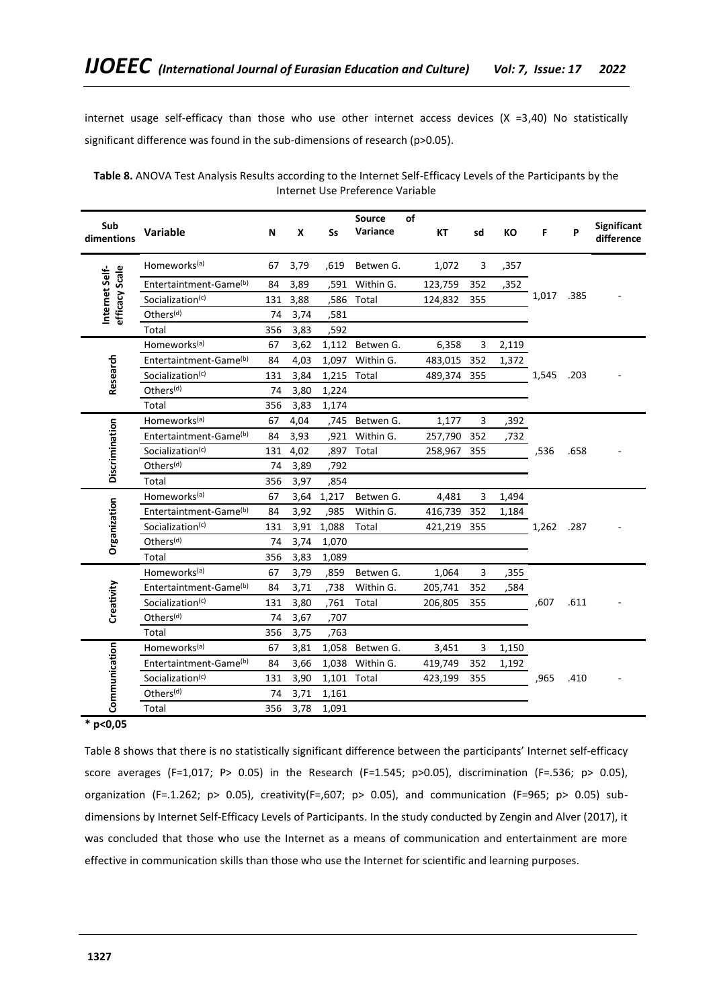internet usage self-efficacy than those who use other internet access devices (X =3,40) No statistically significant difference was found in the sub-dimensions of research (p>0.05).

| Table 8. ANOVA Test Analysis Results according to the Internet Self-Efficacy Levels of the Participants by the |
|----------------------------------------------------------------------------------------------------------------|
| Internet Use Preference Variable                                                                               |

| Sub<br>dimentions                | <b>Variable</b>                    | N   | X    | Ss          | <b>Source</b><br>Variance | οf | <b>KT</b> | sd  | КO    | F     | P    | Significant<br>difference |
|----------------------------------|------------------------------------|-----|------|-------------|---------------------------|----|-----------|-----|-------|-------|------|---------------------------|
|                                  | Homeworks <sup>(a)</sup>           | 67  | 3,79 | .619        | Betwen G.                 |    | 1,072     | 3   | ,357  |       |      |                           |
| efficacy Scale<br>Internet Self- | Entertaintment-Game <sup>(b)</sup> | 84  | 3,89 | ,591        | Within G.                 |    | 123,759   | 352 | ,352  |       |      |                           |
|                                  | Socialization <sup>(c)</sup>       | 131 | 3,88 | ,586        | Total                     |    | 124,832   | 355 |       | 1,017 | .385 |                           |
|                                  | Others <sup>(d)</sup>              | 74  | 3,74 | ,581        |                           |    |           |     |       |       |      |                           |
|                                  | Total                              | 356 | 3,83 | ,592        |                           |    |           |     |       |       |      |                           |
|                                  | Homeworks <sup>(a)</sup>           | 67  | 3,62 | 1,112       | Betwen G.                 |    | 6,358     | 3   | 2,119 |       |      |                           |
|                                  | Entertaintment-Game <sup>(b)</sup> | 84  | 4,03 | 1,097       | Within G.                 |    | 483,015   | 352 | 1,372 |       |      |                           |
| Research                         | Socialization(c)                   | 131 | 3,84 | 1,215       | Total                     |    | 489,374   | 355 |       | 1,545 | .203 |                           |
|                                  | Others <sup>(d)</sup>              | 74  | 3,80 | 1,224       |                           |    |           |     |       |       |      |                           |
|                                  | Total                              | 356 | 3,83 | 1,174       |                           |    |           |     |       |       |      |                           |
|                                  | Homeworks <sup>(a)</sup>           | 67  | 4,04 | ,745        | Betwen G.                 |    | 1,177     | 3   | ,392  |       |      |                           |
|                                  | Entertaintment-Game <sup>(b)</sup> | 84  | 3,93 | .921        | Within G.                 |    | 257,790   | 352 | ,732  |       |      |                           |
|                                  | Socialization(c)                   | 131 | 4,02 | ,897        | Total                     |    | 258,967   | 355 |       | ,536  | .658 |                           |
| Discrimination                   | Others <sup>(d)</sup>              | 74  | 3,89 | ,792        |                           |    |           |     |       |       |      |                           |
|                                  | Total                              | 356 | 3,97 | ,854        |                           |    |           |     |       |       |      |                           |
|                                  | Homeworks <sup>(a)</sup>           | 67  | 3,64 | 1,217       | Betwen G.                 |    | 4,481     | 3   | 1,494 |       |      |                           |
| Organization                     | Entertaintment-Game <sup>(b)</sup> | 84  | 3,92 | .985        | Within G.                 |    | 416,739   | 352 | 1,184 |       |      |                           |
|                                  | Socialization <sup>(c)</sup>       | 131 | 3,91 | 1,088       | Total                     |    | 421,219   | 355 |       | 1,262 | .287 |                           |
|                                  | Others <sup>(d)</sup>              | 74  | 3,74 | 1,070       |                           |    |           |     |       |       |      |                           |
|                                  | Total                              | 356 | 3,83 | 1,089       |                           |    |           |     |       |       |      |                           |
|                                  | Homeworks <sup>(a)</sup>           | 67  | 3,79 | ,859        | Betwen G.                 |    | 1,064     | 3   | ,355  |       |      |                           |
|                                  | Entertaintment-Game <sup>(b)</sup> | 84  | 3,71 | ,738        | Within G.                 |    | 205,741   | 352 | ,584  |       |      |                           |
| Creativity                       | Socialization(c)                   | 131 | 3,80 | .761        | Total                     |    | 206,805   | 355 |       | ,607  | .611 |                           |
|                                  | Others <sup>(d)</sup>              | 74  | 3,67 | ,707        |                           |    |           |     |       |       |      |                           |
|                                  | Total                              | 356 | 3,75 | ,763        |                           |    |           |     |       |       |      |                           |
|                                  | Homeworks <sup>(a)</sup>           | 67  | 3,81 | 1,058       | Betwen G.                 |    | 3,451     | 3   | 1,150 |       |      |                           |
|                                  | Entertaintment-Game <sup>(b)</sup> | 84  | 3,66 |             | 1,038 Within G.           |    | 419,749   | 352 | 1,192 |       |      |                           |
|                                  | Socialization <sup>(c)</sup>       | 131 | 3,90 | 1,101 Total |                           |    | 423,199   | 355 |       | ,965  | .410 |                           |
| Communication                    | Others <sup>(d)</sup>              | 74  | 3,71 | 1,161       |                           |    |           |     |       |       |      |                           |
|                                  | Total                              | 356 | 3,78 | 1,091       |                           |    |           |     |       |       |      |                           |

**\* p<0,05** 

Table 8 shows that there is no statistically significant difference between the participants' Internet self-efficacy score averages (F=1,017; P> 0.05) in the Research (F=1.545; p>0.05), discrimination (F=.536; p> 0.05), organization (F=.1.262; p> 0.05), creativity(F=,607; p> 0.05), and communication (F=965; p> 0.05) subdimensions by Internet Self-Efficacy Levels of Participants. In the study conducted by Zengin and Alver (2017), it was concluded that those who use the Internet as a means of communication and entertainment are more effective in communication skills than those who use the Internet for scientific and learning purposes.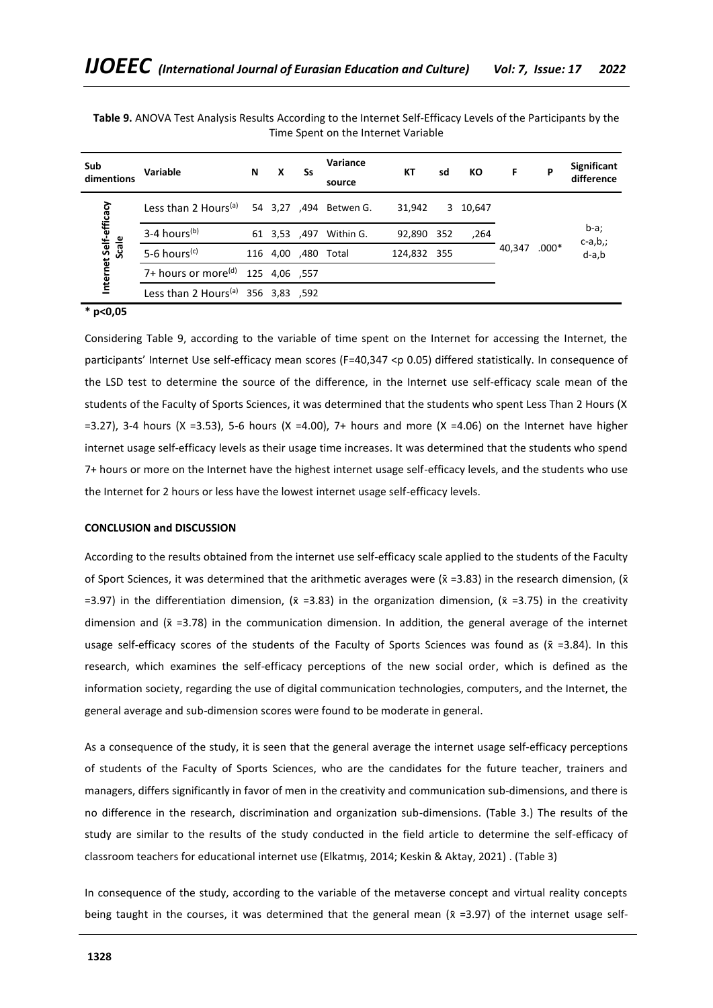| Sub<br>dimentions      | Variable                                       | N | x | Ss | Variance<br>source     | КT          | sd | КO       | F      | P       | Significant<br>difference |
|------------------------|------------------------------------------------|---|---|----|------------------------|-------------|----|----------|--------|---------|---------------------------|
| Internet Self-efficacy | Less than 2 Hours <sup>(a)</sup>               |   |   |    | 54 3,27 ,494 Betwen G. | 31,942      |    | 3 10,647 |        |         |                           |
|                        | 3-4 hours <sup>(b)</sup>                       |   |   |    | 61 3,53 ,497 Within G. | 92,890 352  |    | ,264     |        |         | b-a;<br>$c-a,b,$ ;        |
| Scale                  | 5-6 hours <sup>(c)</sup>                       |   |   |    | 116 4,00 ,480 Total    | 124,832 355 |    |          | 40,347 | $.000*$ | $d-a,b$                   |
|                        | 7+ hours or more <sup>(d)</sup> 125 4,06 ,557  |   |   |    |                        |             |    |          |        |         |                           |
|                        | Less than 2 Hours <sup>(a)</sup> 356 3,83 ,592 |   |   |    |                        |             |    |          |        |         |                           |

**Table 9.** ANOVA Test Analysis Results According to the Internet Self-Efficacy Levels of the Participants by the Time Spent on the Internet Variable

**\* p<0,05** 

Considering Table 9, according to the variable of time spent on the Internet for accessing the Internet, the participants' Internet Use self-efficacy mean scores (F=40,347 <p 0.05) differed statistically. In consequence of the LSD test to determine the source of the difference, in the Internet use self-efficacy scale mean of the students of the Faculty of Sports Sciences, it was determined that the students who spent Less Than 2 Hours (X  $=$  3.27), 3-4 hours (X = 3.53), 5-6 hours (X = 4.00), 7+ hours and more (X = 4.06) on the Internet have higher internet usage self-efficacy levels as their usage time increases. It was determined that the students who spend 7+ hours or more on the Internet have the highest internet usage self-efficacy levels, and the students who use the Internet for 2 hours or less have the lowest internet usage self-efficacy levels.

#### **CONCLUSION and DISCUSSION**

According to the results obtained from the internet use self-efficacy scale applied to the students of the Faculty of Sport Sciences, it was determined that the arithmetic averages were ( $\bar{x}$  =3.83) in the research dimension, ( $\bar{x}$ =3.97) in the differentiation dimension,  $(\bar{x} = 3.83)$  in the organization dimension,  $(\bar{x} = 3.75)$  in the creativity dimension and  $(x = 3.78)$  in the communication dimension. In addition, the general average of the internet usage self-efficacy scores of the students of the Faculty of Sports Sciences was found as ( $\bar{x}$  =3.84). In this research, which examines the self-efficacy perceptions of the new social order, which is defined as the information society, regarding the use of digital communication technologies, computers, and the Internet, the general average and sub-dimension scores were found to be moderate in general.

As a consequence of the study, it is seen that the general average the internet usage self-efficacy perceptions of students of the Faculty of Sports Sciences, who are the candidates for the future teacher, trainers and managers, differs significantly in favor of men in the creativity and communication sub-dimensions, and there is no difference in the research, discrimination and organization sub-dimensions. (Table 3.) The results of the study are similar to the results of the study conducted in the field article to determine the self-efficacy of classroom teachers for educational internet use (Elkatmış, 2014; Keskin & Aktay, 2021) . (Table 3)

In consequence of the study, according to the variable of the metaverse concept and virtual reality concepts being taught in the courses, it was determined that the general mean ( $\bar{x}$  =3.97) of the internet usage self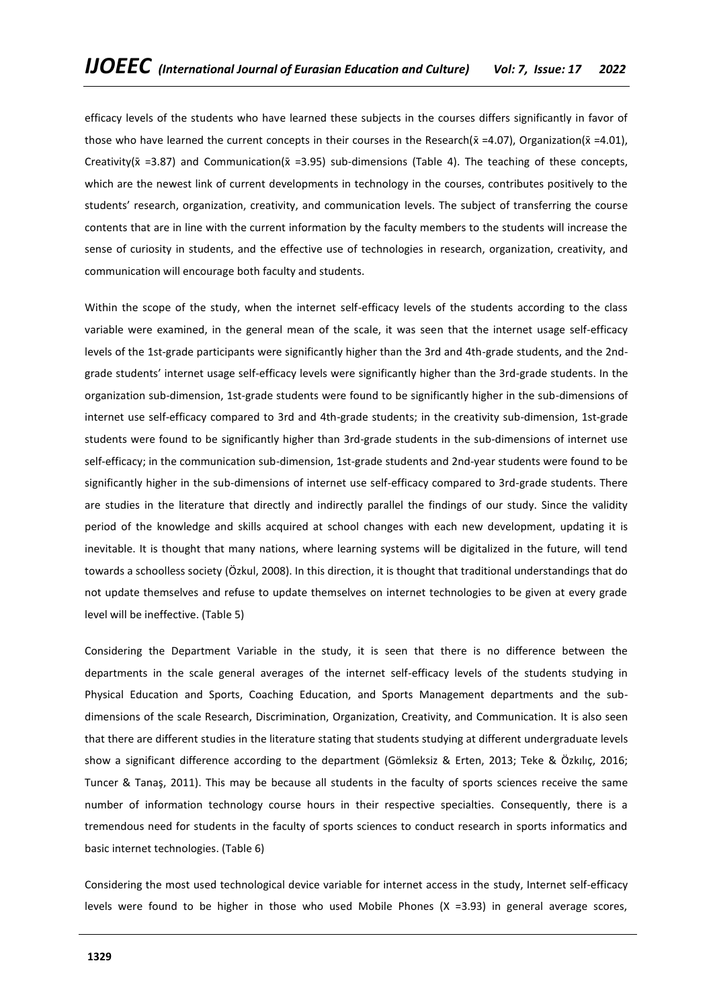efficacy levels of the students who have learned these subjects in the courses differs significantly in favor of those who have learned the current concepts in their courses in the Research( $\bar{x}$  =4.07), Organization( $\bar{x}$  =4.01), Creativity( $\bar{x}$  =3.87) and Communication( $\bar{x}$  =3.95) sub-dimensions (Table 4). The teaching of these concepts, which are the newest link of current developments in technology in the courses, contributes positively to the students' research, organization, creativity, and communication levels. The subject of transferring the course contents that are in line with the current information by the faculty members to the students will increase the sense of curiosity in students, and the effective use of technologies in research, organization, creativity, and communication will encourage both faculty and students.

Within the scope of the study, when the internet self-efficacy levels of the students according to the class variable were examined, in the general mean of the scale, it was seen that the internet usage self-efficacy levels of the 1st-grade participants were significantly higher than the 3rd and 4th-grade students, and the 2ndgrade students' internet usage self-efficacy levels were significantly higher than the 3rd-grade students. In the organization sub-dimension, 1st-grade students were found to be significantly higher in the sub-dimensions of internet use self-efficacy compared to 3rd and 4th-grade students; in the creativity sub-dimension, 1st-grade students were found to be significantly higher than 3rd-grade students in the sub-dimensions of internet use self-efficacy; in the communication sub-dimension, 1st-grade students and 2nd-year students were found to be significantly higher in the sub-dimensions of internet use self-efficacy compared to 3rd-grade students. There are studies in the literature that directly and indirectly parallel the findings of our study. Since the validity period of the knowledge and skills acquired at school changes with each new development, updating it is inevitable. It is thought that many nations, where learning systems will be digitalized in the future, will tend towards a schoolless society (Özkul, 2008). In this direction, it is thought that traditional understandings that do not update themselves and refuse to update themselves on internet technologies to be given at every grade level will be ineffective. (Table 5)

Considering the Department Variable in the study, it is seen that there is no difference between the departments in the scale general averages of the internet self-efficacy levels of the students studying in Physical Education and Sports, Coaching Education, and Sports Management departments and the subdimensions of the scale Research, Discrimination, Organization, Creativity, and Communication. It is also seen that there are different studies in the literature stating that students studying at different undergraduate levels show a significant difference according to the department (Gömleksiz & Erten, 2013; Teke & Özkılıç, 2016; Tuncer & Tanaş, 2011). This may be because all students in the faculty of sports sciences receive the same number of information technology course hours in their respective specialties. Consequently, there is a tremendous need for students in the faculty of sports sciences to conduct research in sports informatics and basic internet technologies. (Table 6)

Considering the most used technological device variable for internet access in the study, Internet self-efficacy levels were found to be higher in those who used Mobile Phones (X =3.93) in general average scores,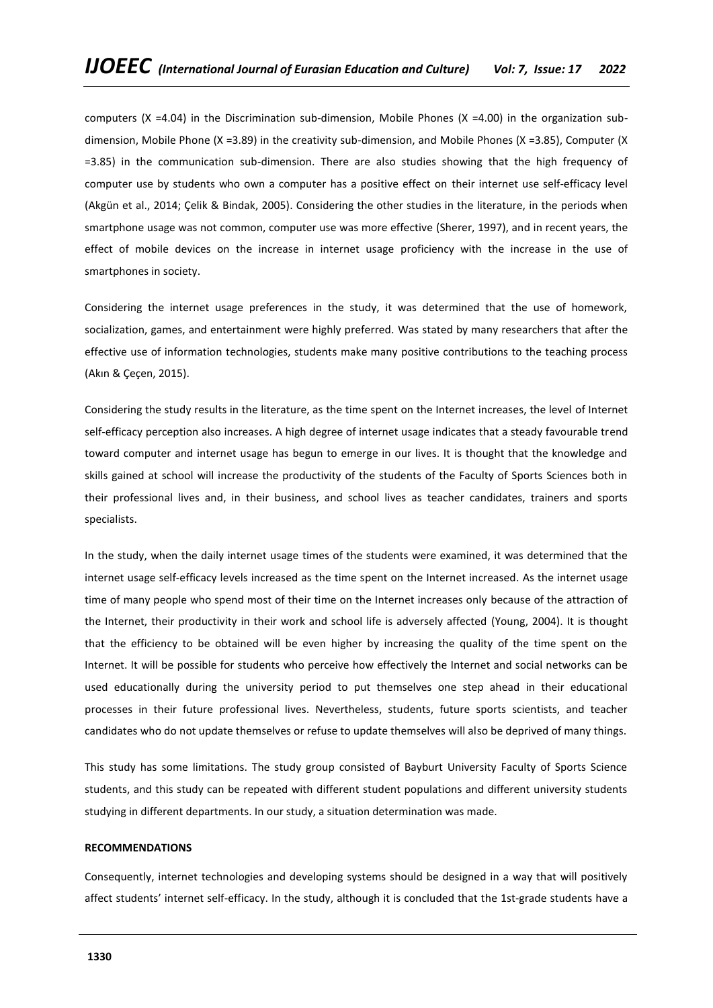computers  $(X = 4.04)$  in the Discrimination sub-dimension, Mobile Phones  $(X = 4.00)$  in the organization subdimension, Mobile Phone (X =3.89) in the creativity sub-dimension, and Mobile Phones (X =3.85), Computer (X =3.85) in the communication sub-dimension. There are also studies showing that the high frequency of computer use by students who own a computer has a positive effect on their internet use self-efficacy level (Akgün et al., 2014; Çelik & Bindak, 2005). Considering the other studies in the literature, in the periods when smartphone usage was not common, computer use was more effective (Sherer, 1997), and in recent years, the effect of mobile devices on the increase in internet usage proficiency with the increase in the use of smartphones in society.

Considering the internet usage preferences in the study, it was determined that the use of homework, socialization, games, and entertainment were highly preferred. Was stated by many researchers that after the effective use of information technologies, students make many positive contributions to the teaching process (Akın & Çeçen, 2015).

Considering the study results in the literature, as the time spent on the Internet increases, the level of Internet self-efficacy perception also increases. A high degree of internet usage indicates that a steady favourable trend toward computer and internet usage has begun to emerge in our lives. It is thought that the knowledge and skills gained at school will increase the productivity of the students of the Faculty of Sports Sciences both in their professional lives and, in their business, and school lives as teacher candidates, trainers and sports specialists.

In the study, when the daily internet usage times of the students were examined, it was determined that the internet usage self-efficacy levels increased as the time spent on the Internet increased. As the internet usage time of many people who spend most of their time on the Internet increases only because of the attraction of the Internet, their productivity in their work and school life is adversely affected (Young, 2004). It is thought that the efficiency to be obtained will be even higher by increasing the quality of the time spent on the Internet. It will be possible for students who perceive how effectively the Internet and social networks can be used educationally during the university period to put themselves one step ahead in their educational processes in their future professional lives. Nevertheless, students, future sports scientists, and teacher candidates who do not update themselves or refuse to update themselves will also be deprived of many things.

This study has some limitations. The study group consisted of Bayburt University Faculty of Sports Science students, and this study can be repeated with different student populations and different university students studying in different departments. In our study, a situation determination was made.

# **RECOMMENDATIONS**

Consequently, internet technologies and developing systems should be designed in a way that will positively affect students' internet self-efficacy. In the study, although it is concluded that the 1st-grade students have a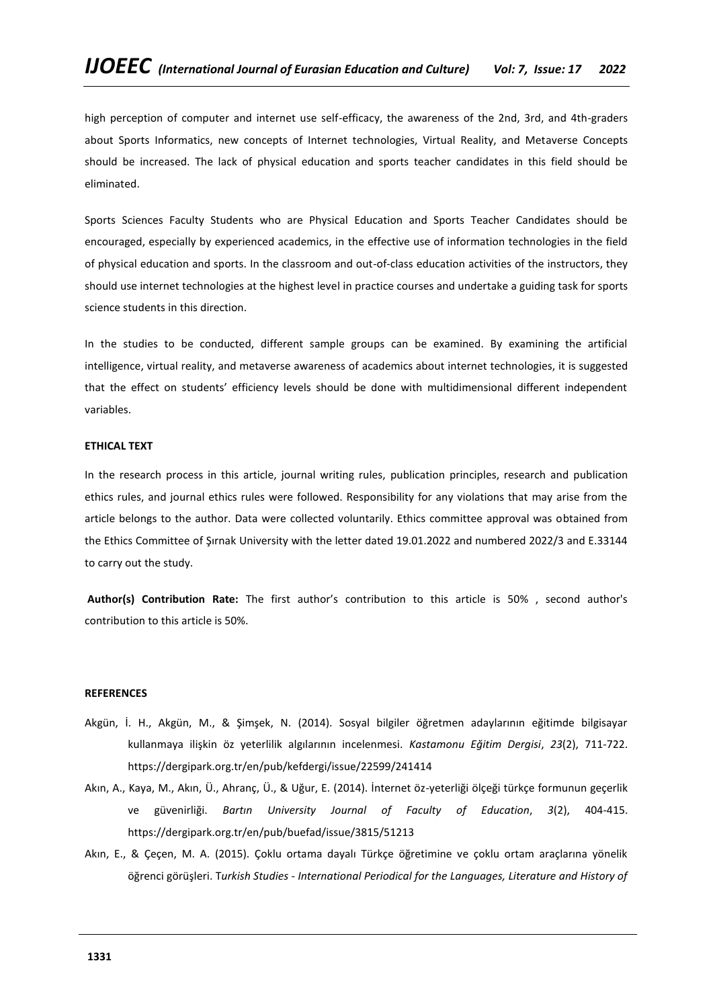high perception of computer and internet use self-efficacy, the awareness of the 2nd, 3rd, and 4th-graders about Sports Informatics, new concepts of Internet technologies, Virtual Reality, and Metaverse Concepts should be increased. The lack of physical education and sports teacher candidates in this field should be eliminated.

Sports Sciences Faculty Students who are Physical Education and Sports Teacher Candidates should be encouraged, especially by experienced academics, in the effective use of information technologies in the field of physical education and sports. In the classroom and out-of-class education activities of the instructors, they should use internet technologies at the highest level in practice courses and undertake a guiding task for sports science students in this direction.

In the studies to be conducted, different sample groups can be examined. By examining the artificial intelligence, virtual reality, and metaverse awareness of academics about internet technologies, it is suggested that the effect on students' efficiency levels should be done with multidimensional different independent variables.

## **ETHICAL TEXT**

In the research process in this article, journal writing rules, publication principles, research and publication ethics rules, and journal ethics rules were followed. Responsibility for any violations that may arise from the article belongs to the author. Data were collected voluntarily. Ethics committee approval was obtained from the Ethics Committee of Şırnak University with the letter dated 19.01.2022 and numbered 2022/3 and E.33144 to carry out the study.

**Author(s) Contribution Rate:** The first author's contribution to this article is 50% , second author's contribution to this article is 50%.

#### **REFERENCES**

- Akgün, İ. H., Akgün, M., & Şimşek, N. (2014). Sosyal bilgiler öğretmen adaylarının eğitimde bilgisayar kullanmaya ilişkin öz yeterlilik algılarının incelenmesi. *Kastamonu Eğitim Dergisi*, *23*(2), 711-722. <https://dergipark.org.tr/en/pub/kefdergi/issue/22599/241414>
- Akın, A., Kaya, M., Akın, Ü., Ahranç, Ü., & Uğur, E. (2014). İnternet öz-yeterliği ölçeği türkçe formunun geçerlik ve güvenirliği. *Bartın University Journal of Faculty of Education*, *3*(2), 404-415. https://dergipark.org.tr/en/pub/buefad/issue/3815/51213
- Akın, E., & Çeçen, M. A. (2015). Çoklu ortama dayalı Türkçe öğretimine ve çoklu ortam araçlarına yönelik öğrenci görüşleri. T*urkish Studies - International Periodical for the Languages, Literature and History of*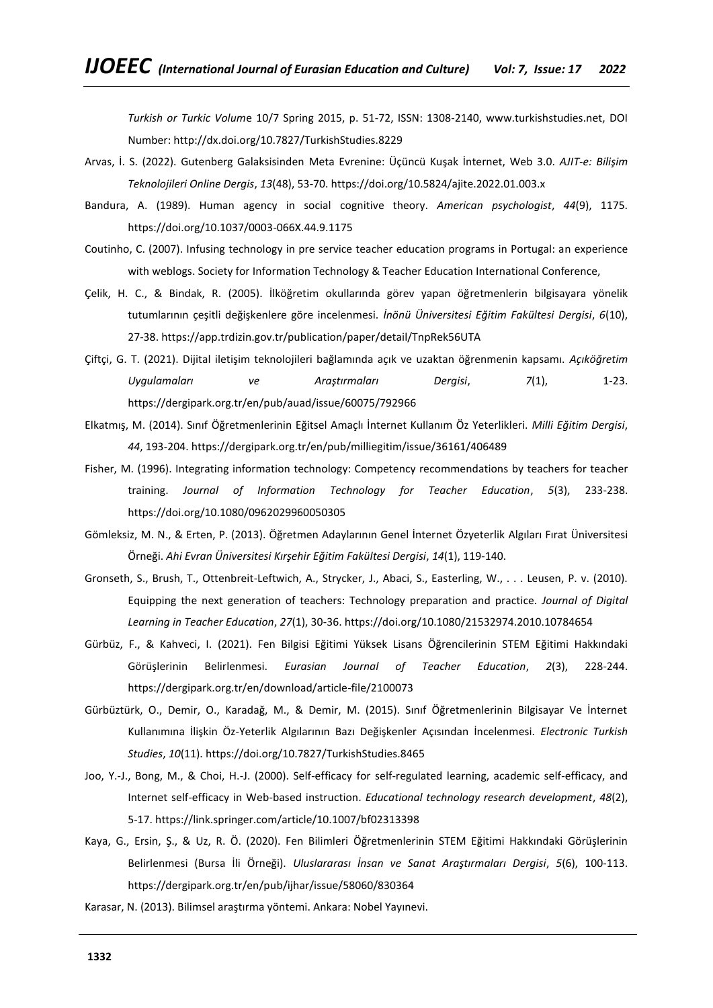*Turkish or Turkic Volum*e 10/7 Spring 2015, p. 51-72, ISSN: 1308-2140, www.turkishstudies.net, DOI Number: http://dx.doi.org/10.7827/TurkishStudies.8229

- Arvas, İ. S. (2022). Gutenberg Galaksisinden Meta Evrenine: Üçüncü Kuşak İnternet, Web 3.0. *AJIT-e: Bilişim Teknolojileri Online Dergis*, *13*(48), 53-70[. https://doi.org/10.5824/ajite.2022.01.003.x](https://doi.org/10.5824/ajite.2022.01.003.x)
- Bandura, A. (1989). Human agency in social cognitive theory. *American psychologist*, *44*(9), 1175. <https://doi.org/10.1037/0003-066X.44.9.1175>
- Coutinho, C. (2007). Infusing technology in pre service teacher education programs in Portugal: an experience with weblogs. Society for Information Technology & Teacher Education International Conference,
- Çelik, H. C., & Bindak, R. (2005). İlköğretim okullarında görev yapan öğretmenlerin bilgisayara yönelik tutumlarının çeşitli değişkenlere göre incelenmesi. *İnönü Üniversitesi Eğitim Fakültesi Dergisi*, *6*(10), 27-38.<https://app.trdizin.gov.tr/publication/paper/detail/TnpRek56UTA>
- Çiftçi, G. T. (2021). Dijital iletişim teknolojileri bağlamında açık ve uzaktan öğrenmenin kapsamı. *Açıköğretim Uygulamaları ve Araştırmaları Dergisi*, *7*(1), 1-23. <https://dergipark.org.tr/en/pub/auad/issue/60075/792966>
- Elkatmış, M. (2014). Sınıf Öğretmenlerinin Eğitsel Amaçlı İnternet Kullanım Öz Yeterlikleri. *Milli Eğitim Dergisi*, *44*, 193-204.<https://dergipark.org.tr/en/pub/milliegitim/issue/36161/406489>
- Fisher, M. (1996). Integrating information technology: Competency recommendations by teachers for teacher training. *Journal of Information Technology for Teacher Education*, *5*(3), 233-238. <https://doi.org/10.1080/0962029960050305>
- Gömleksiz, M. N., & Erten, P. (2013). Öğretmen Adaylarının Genel İnternet Özyeterlik Algıları Fırat Üniversitesi Örneği. *Ahi Evran Üniversitesi Kırşehir Eğitim Fakültesi Dergisi*, *14*(1), 119-140.
- Gronseth, S., Brush, T., Ottenbreit-Leftwich, A., Strycker, J., Abaci, S., Easterling, W., . . . Leusen, P. v. (2010). Equipping the next generation of teachers: Technology preparation and practice. *Journal of Digital Learning in Teacher Education*, *27*(1), 30-36.<https://doi.org/10.1080/21532974.2010.10784654>
- Gürbüz, F., & Kahveci, I. (2021). Fen Bilgisi Eğitimi Yüksek Lisans Öğrencilerinin STEM Eğitimi Hakkındaki Görüşlerinin Belirlenmesi. *Eurasian Journal of Teacher Education*, *2*(3), 228-244. <https://dergipark.org.tr/en/download/article-file/2100073>
- Gürbüztürk, O., Demir, O., Karadağ, M., & Demir, M. (2015). Sınıf Öğretmenlerinin Bilgisayar Ve İnternet Kullanımına İlişkin Öz-Yeterlik Algılarının Bazı Değişkenler Açısından İncelenmesi. *Electronic Turkish Studies*, *10*(11).<https://doi.org/10.7827/TurkishStudies.8465>
- Joo, Y.-J., Bong, M., & Choi, H.-J. (2000). Self-efficacy for self-regulated learning, academic self-efficacy, and Internet self-efficacy in Web-based instruction. *Educational technology research development*, *48*(2), 5-17.<https://link.springer.com/article/10.1007/bf02313398>
- Kaya, G., Ersin, Ş., & Uz, R. Ö. (2020). Fen Bilimleri Öğretmenlerinin STEM Eğitimi Hakkındaki Görüşlerinin Belirlenmesi (Bursa İli Örneği). *Uluslararası İnsan ve Sanat Araştırmaları Dergisi*, *5*(6), 100-113. <https://dergipark.org.tr/en/pub/ijhar/issue/58060/830364>
- Karasar, N. (2013). Bilimsel araştırma yöntemi. Ankara: Nobel Yayınevi.